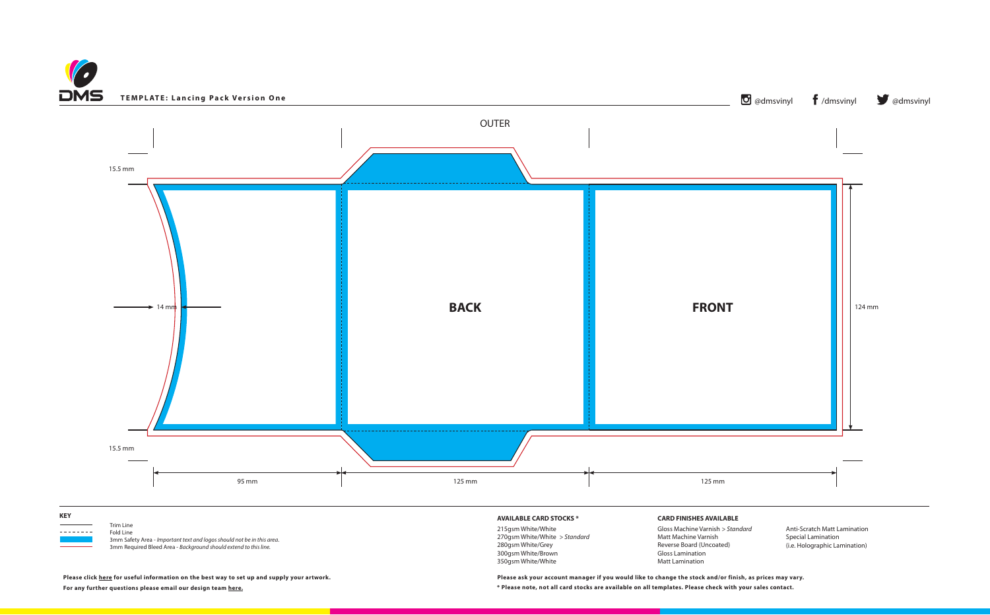

 $Trim Line$ <br> $Trim Line$ <br> $Fold Line$ 

 3mm Safety Area - *Important text and logos should not be in this area*. 3mm Required Bleed Area - *Background should extend to this line.*





280gsm White/Grey 300gsm White/Brown 350gsm White/White

**\* Please note, not all card stocks are available on all templates. Please check with your sales contact. Please ask your account manager if you would like to change the stock and/or finish, as prices may vary.**

Reverse Board (Uncoated)

Gloss Lamination Matt Lamination

(i.e. Holographic Lamination)

**Please click [here](https://www.discmanufacturingservices.com/cd/templates#artwork-specifications) for useful information on the best way to set up and supply your artwork.**

**For any further questions please email our design team [here.](mailto:graphics%40discmanufacturingservices.com?subject=Template%20Enquiry)**